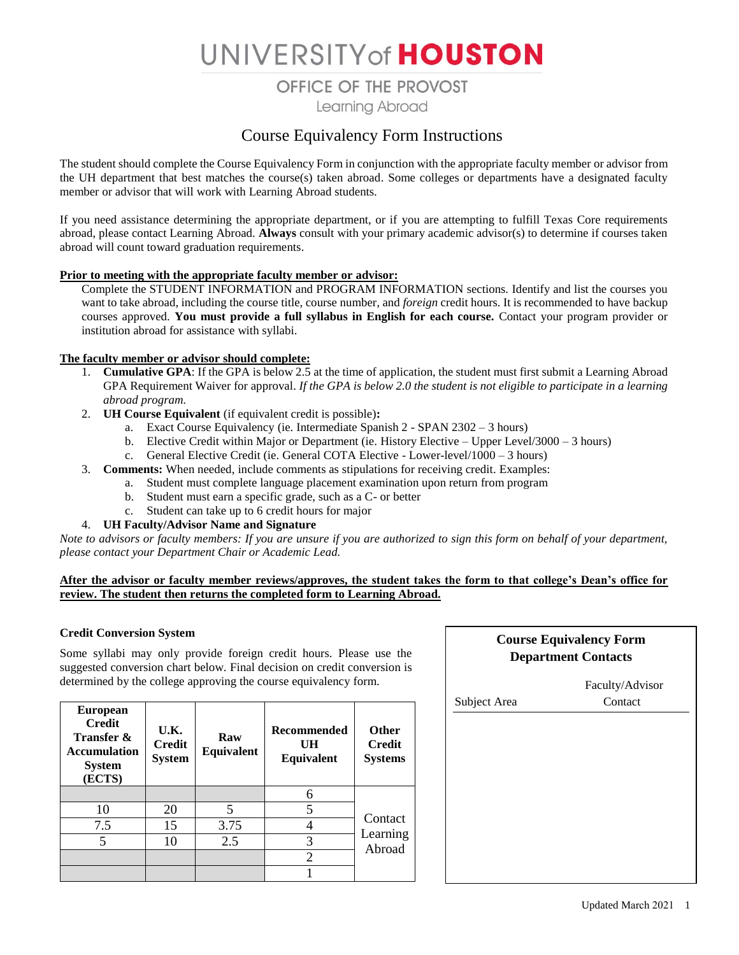# UNIVERSITY of HOUSTON

OFFICE OF THE PROVOST

Learning Abroad

# Course Equivalency Form Instructions

The student should complete the Course Equivalency Form in conjunction with the appropriate faculty member or advisor from the UH department that best matches the course(s) taken abroad. Some colleges or departments have a designated faculty member or advisor that will work with Learning Abroad students.

If you need assistance determining the appropriate department, or if you are attempting to fulfill Texas Core requirements abroad, please contact Learning Abroad. **Always** consult with your primary academic advisor(s) to determine if courses taken abroad will count toward graduation requirements.

#### **Prior to meeting with the appropriate faculty member or advisor:**

Complete the STUDENT INFORMATION and PROGRAM INFORMATION sections. Identify and list the courses you want to take abroad, including the course title, course number, and *foreign* credit hours. It is recommended to have backup courses approved. **You must provide a full syllabus in English for each course.** Contact your program provider or institution abroad for assistance with syllabi.

#### **The faculty member or advisor should complete:**

- 1. **Cumulative GPA**: If the GPA is below 2.5 at the time of application, the student must first submit a Learning Abroad GPA Requirement Waiver for approval. *If the GPA is below 2.0 the student is not eligible to participate in a learning abroad program.*
- 2. **UH Course Equivalent** (if equivalent credit is possible)**:**
	- a. Exact Course Equivalency (ie. Intermediate Spanish 2 SPAN 2302 3 hours)
	- b. Elective Credit within Major or Department (ie. History Elective Upper Level/3000 3 hours)
	- c. General Elective Credit (ie. General COTA Elective Lower-level/1000 3 hours)
- 3. **Comments:** When needed, include comments as stipulations for receiving credit. Examples:
	- a. Student must complete language placement examination upon return from program
	- b. Student must earn a specific grade, such as a C- or better
	- c. Student can take up to 6 credit hours for major
- 4. **UH Faculty/Advisor Name and Signature**

*Note to advisors or faculty members: If you are unsure if you are authorized to sign this form on behalf of your department, please contact your Department Chair or Academic Lead.*

#### **After the advisor or faculty member reviews/approves, the student takes the form to that college's Dean's office for review. The student then returns the completed form to Learning Abroad.**

#### **Credit Conversion System**

Some syllabi may only provide foreign credit hours. Please use the suggested conversion chart below. Final decision on credit conversion is determined by the college approving the course equivalency form.

| <b>European</b><br><b>Credit</b><br><b>Transfer &amp;</b><br><b>Accumulation</b><br><b>System</b><br>(ECTS) | U.K.<br><b>Credit</b><br><b>System</b> | Raw<br>Equivalent | <b>Recommended</b><br>UH<br>Equivalent | <b>Other</b><br><b>Credit</b><br><b>Systems</b> |  |
|-------------------------------------------------------------------------------------------------------------|----------------------------------------|-------------------|----------------------------------------|-------------------------------------------------|--|
|                                                                                                             |                                        |                   |                                        |                                                 |  |
| 10                                                                                                          | 20                                     | 5                 |                                        |                                                 |  |
| 7.5                                                                                                         | 15                                     | 3.75              |                                        | Contact                                         |  |
|                                                                                                             | 10                                     | 2.5               |                                        | Learning<br>Abroad                              |  |
|                                                                                                             |                                        |                   | $\overline{c}$                         |                                                 |  |
|                                                                                                             |                                        |                   |                                        |                                                 |  |

### **Course Equivalency Form Department Contacts**

|              | Faculty/Advisor |
|--------------|-----------------|
| Subject Area | Contact         |
|              |                 |
|              |                 |
|              |                 |
|              |                 |
|              |                 |
|              |                 |
|              |                 |
|              |                 |
|              |                 |
|              |                 |
|              |                 |